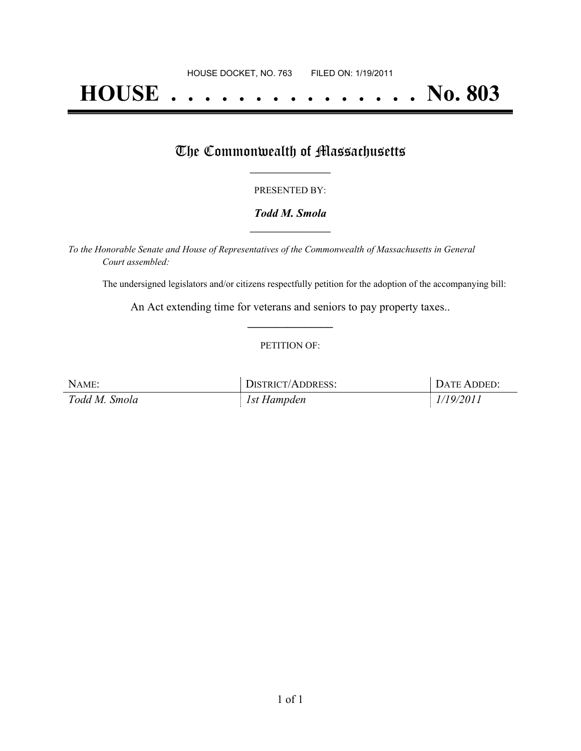# **HOUSE . . . . . . . . . . . . . . . No. 803**

## The Commonwealth of Massachusetts

#### PRESENTED BY:

#### *Todd M. Smola* **\_\_\_\_\_\_\_\_\_\_\_\_\_\_\_\_\_**

*To the Honorable Senate and House of Representatives of the Commonwealth of Massachusetts in General Court assembled:*

The undersigned legislators and/or citizens respectfully petition for the adoption of the accompanying bill:

An Act extending time for veterans and seniors to pay property taxes.. **\_\_\_\_\_\_\_\_\_\_\_\_\_\_\_**

#### PETITION OF:

| NAME:         | DISTRICT/ADDRESS: | DATE ADDED: |
|---------------|-------------------|-------------|
| Todd M. Smola | 1st Hampden       | 1/19/2011   |